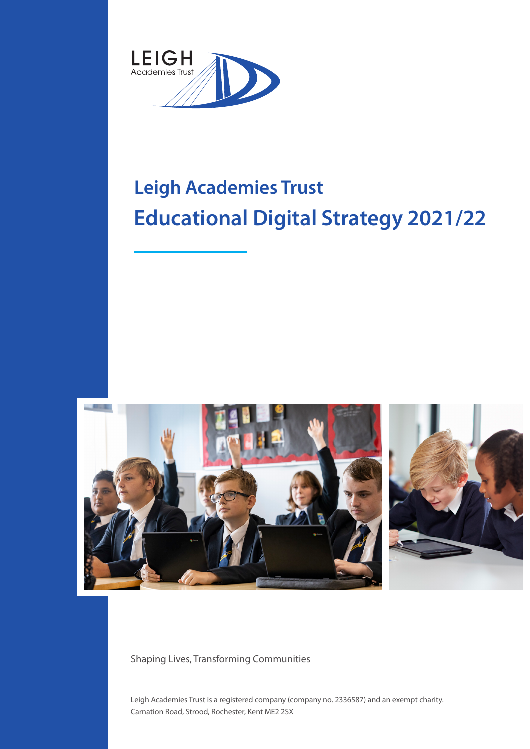

# **Leigh Academies Trust Educational Digital Strategy 2021/22**



Shaping Lives, Transforming Communities

Leigh Academies Trust is a registered company (company no. 2336587) and an exempt charity. Carnation Road, Strood, Rochester, Kent ME2 2SX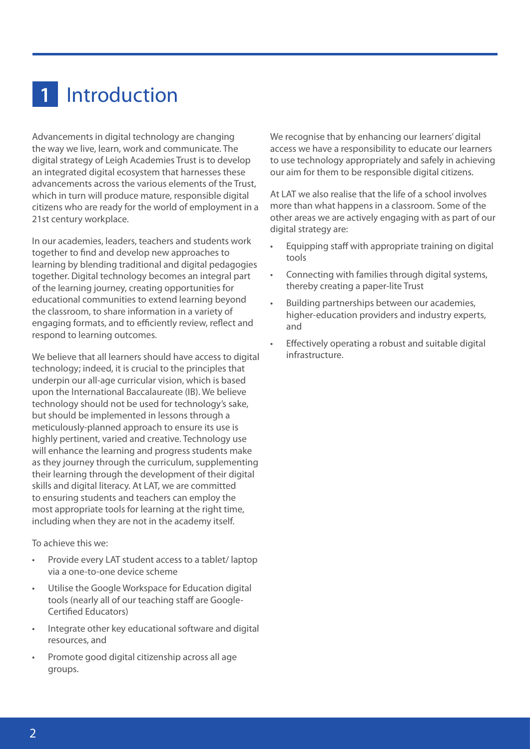### 1 Introduction

Advancements in digital technology are changing the way we live, learn, work and communicate. The digital strategy of Leigh Academies Trust is to develop an integrated digital ecosystem that harnesses these advancements across the various elements of the Trust, which in turn will produce mature, responsible digital citizens who are ready for the world of employment in a 21st century workplace.

In our academies, leaders, teachers and students work together to find and develop new approaches to learning by blending traditional and digital pedagogies together. Digital technology becomes an integral part of the learning journey, creating opportunities for educational communities to extend learning beyond the classroom, to share information in a variety of engaging formats, and to efficiently review, reflect and respond to learning outcomes.

We believe that all learners should have access to digital technology; indeed, it is crucial to the principles that underpin our all-age curricular vision, which is based upon the International Baccalaureate (IB). We believe technology should not be used for technology's sake, but should be implemented in lessons through a meticulously-planned approach to ensure its use is highly pertinent, varied and creative. Technology use will enhance the learning and progress students make as they journey through the curriculum, supplementing their learning through the development of their digital skills and digital literacy. At LAT, we are committed to ensuring students and teachers can employ the most appropriate tools for learning at the right time, including when they are not in the academy itself.

To achieve this we:

- Provide every LAT student access to a tablet/ laptop via a one-to-one device scheme
- Utilise the Google Workspace for Education digital tools (nearly all of our teaching staff are Google-Certified Educators)
- Integrate other key educational software and digital resources, and
- Promote good digital citizenship across all age groups.

We recognise that by enhancing our learners' digital access we have a responsibility to educate our learners to use technology appropriately and safely in achieving our aim for them to be responsible digital citizens.

At LAT we also realise that the life of a school involves more than what happens in a classroom. Some of the other areas we are actively engaging with as part of our digital strategy are:

- Equipping staff with appropriate training on digital tools
- Connecting with families through digital systems, thereby creating a paper-lite Trust
- Building partnerships between our academies, higher-education providers and industry experts, and
- Effectively operating a robust and suitable digital infrastructure.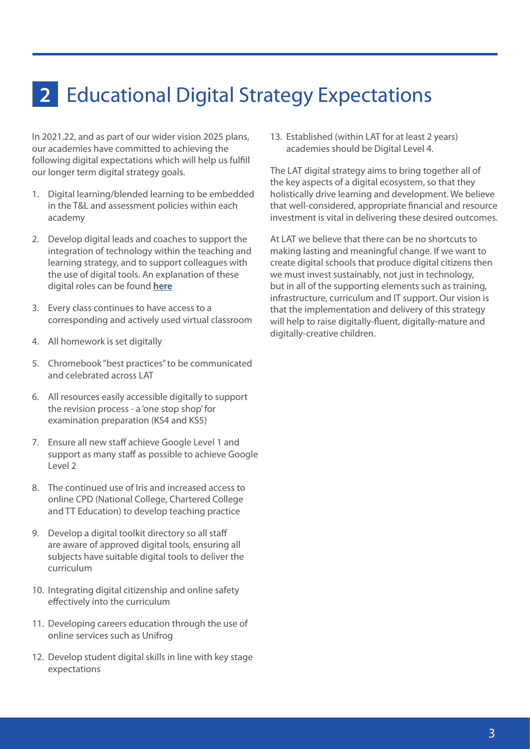### Educational Digital Strategy Expectations **2**

In 2021.22, and as part of our wider vision 2025 plans, our academies have committed to achieving the following digital expectations which will help us fulfill our longer term digital strategy goals.

- 1. Digital learning/blended learning to be embedded in the T&L and assessment policies within each academy
- 2. Develop digital leads and coaches to support the integration of technology within the teaching and learning strategy, and to support colleagues with the use of digital tools. An explanation of these digital roles can be found **[here](#page-3-0)**
- 3. Every class continues to have access to a corresponding and actively used virtual classroom
- 4. All homework is set digitally
- 5. Chromebook "best practices" to be communicated and celebrated across LAT
- 6. All resources easily accessible digitally to support the revision process - a 'one stop shop' for examination preparation (KS4 and KS5)
- 7. Ensure all new staff achieve Google Level 1 and support as many staff as possible to achieve Google Level 2
- 8. The continued use of Iris and increased access to online CPD (National College, Chartered College and TT Education) to develop teaching practice
- 9. Develop a digital toolkit directory so all staff are aware of approved digital tools, ensuring all subjects have suitable digital tools to deliver the curriculum
- 10. Integrating digital citizenship and online safety effectively into the curriculum
- 11. Developing careers education through the use of online services such as Unifrog
- 12. Develop student digital skills in line with key stage expectations

13. Established (within LAT for at least 2 years) academies should be Digital Level 4.

The LAT digital strategy aims to bring together all of the key aspects of a digital ecosystem, so that they holistically drive learning and development. We believe that well-considered, appropriate financial and resource investment is vital in delivering these desired outcomes.

At LAT we believe that there can be no shortcuts to making lasting and meaningful change. If we want to create digital schools that produce digital citizens then we must invest sustainably, not just in technology, but in all of the supporting elements such as training, infrastructure, curriculum and IT support. Our vision is that the implementation and delivery of this strategy will help to raise digitally-fluent, digitally-mature and digitally-creative children.